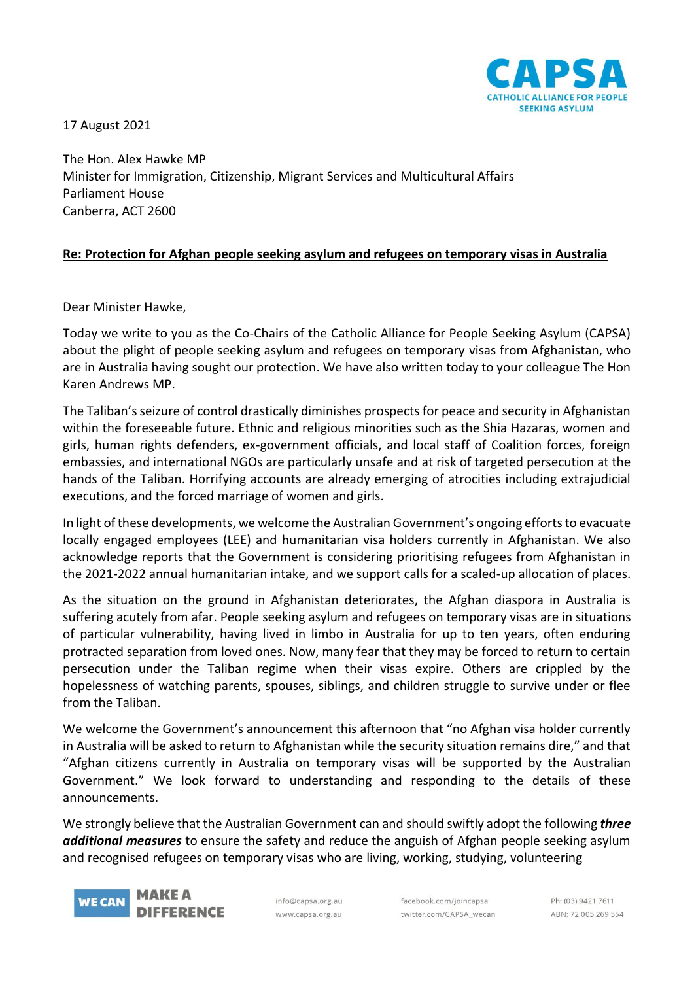17 August 2021



The Hon. Alex Hawke MP Minister for Immigration, Citizenship, Migrant Services and Multicultural Affairs Parliament House Canberra, ACT 2600

## **Re: Protection for Afghan people seeking asylum and refugees on temporary visas in Australia**

Dear Minister Hawke,

Today we write to you as the Co-Chairs of the Catholic Alliance for People Seeking Asylum (CAPSA) about the plight of people seeking asylum and refugees on temporary visas from Afghanistan, who are in Australia having sought our protection. We have also written today to your colleague The Hon Karen Andrews MP.

The Taliban's seizure of control drastically diminishes prospects for peace and security in Afghanistan within the foreseeable future. Ethnic and religious minorities such as the Shia Hazaras, women and girls, human rights defenders, ex-government officials, and local staff of Coalition forces, foreign embassies, and international NGOs are particularly unsafe and at risk of targeted persecution at the hands of the Taliban. Horrifying accounts are already emerging of atrocities including extrajudicial executions, and the forced marriage of women and girls.

In light of these developments, we welcome the Australian Government's ongoing efforts to evacuate locally engaged employees (LEE) and humanitarian visa holders currently in Afghanistan. We also acknowledge reports that the Government is considering prioritising refugees from Afghanistan in the 2021-2022 annual humanitarian intake, and we support calls for a scaled-up allocation of places.

As the situation on the ground in Afghanistan deteriorates, the Afghan diaspora in Australia is suffering acutely from afar. People seeking asylum and refugees on temporary visas are in situations of particular vulnerability, having lived in limbo in Australia for up to ten years, often enduring protracted separation from loved ones. Now, many fear that they may be forced to return to certain persecution under the Taliban regime when their visas expire. Others are crippled by the hopelessness of watching parents, spouses, siblings, and children struggle to survive under or flee from the Taliban.

We welcome the Government's announcement this afternoon that "no Afghan visa holder currently in Australia will be asked to return to Afghanistan while the security situation remains dire," and that "Afghan citizens currently in Australia on temporary visas will be supported by the Australian Government." We look forward to understanding and responding to the details of these announcements.

We strongly believe that the Australian Government can and should swiftly adopt the following *three additional measures* to ensure the safety and reduce the anguish of Afghan people seeking asylum and recognised refugees on temporary visas who are living, working, studying, volunteering



info@capsa.org.au www.capsa.org.au

facebook.com/joincapsa twitter.com/CAPSA wecan

Ph: (03) 9421 7611 ABN: 72 005 269 554